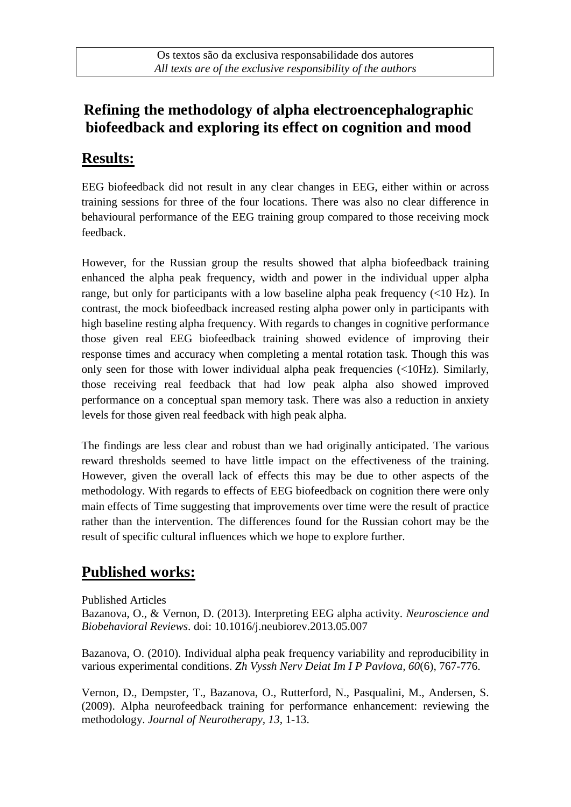# **Refining the methodology of alpha electroencephalographic biofeedback and exploring its effect on cognition and mood**

#### **Results:**

EEG biofeedback did not result in any clear changes in EEG, either within or across training sessions for three of the four locations. There was also no clear difference in behavioural performance of the EEG training group compared to those receiving mock feedback.

However, for the Russian group the results showed that alpha biofeedback training enhanced the alpha peak frequency, width and power in the individual upper alpha range, but only for participants with a low baseline alpha peak frequency (<10 Hz). In contrast, the mock biofeedback increased resting alpha power only in participants with high baseline resting alpha frequency. With regards to changes in cognitive performance those given real EEG biofeedback training showed evidence of improving their response times and accuracy when completing a mental rotation task. Though this was only seen for those with lower individual alpha peak frequencies (<10Hz). Similarly, those receiving real feedback that had low peak alpha also showed improved performance on a conceptual span memory task. There was also a reduction in anxiety levels for those given real feedback with high peak alpha.

The findings are less clear and robust than we had originally anticipated. The various reward thresholds seemed to have little impact on the effectiveness of the training. However, given the overall lack of effects this may be due to other aspects of the methodology. With regards to effects of EEG biofeedback on cognition there were only main effects of Time suggesting that improvements over time were the result of practice rather than the intervention. The differences found for the Russian cohort may be the result of specific cultural influences which we hope to explore further.

# **Published works:**

Published Articles

Bazanova, O., & Vernon, D. (2013). Interpreting EEG alpha activity. *Neuroscience and Biobehavioral Reviews*. doi: 10.1016/j.neubiorev.2013.05.007

Bazanova, O. (2010). Individual alpha peak frequency variability and reproducibility in various experimental conditions. *Zh Vyssh Nerv Deiat Im I P Pavlova, 60*(6), 767-776.

Vernon, D., Dempster, T., Bazanova, O., Rutterford, N., Pasqualini, M., Andersen, S. (2009). Alpha neurofeedback training for performance enhancement: reviewing the methodology. *Journal of Neurotherapy, 13*, 1-13.